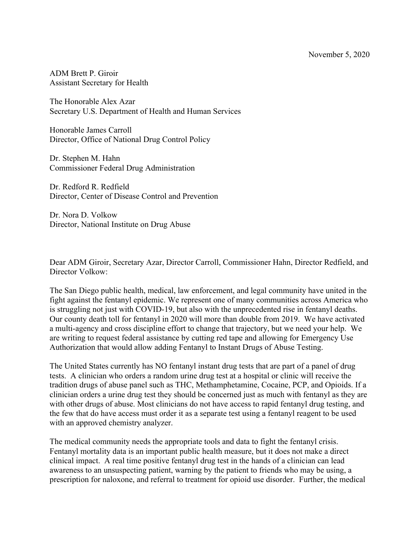ADM Brett P. Giroir Assistant Secretary for Health

The Honorable Alex Azar Secretary U.S. Department of Health and Human Services

Honorable James Carroll Director, Office of National Drug Control Policy

Dr. Stephen M. Hahn Commissioner Federal Drug Administration

Dr. Redford R. Redfield Director, Center of Disease Control and Prevention

Dr. Nora D. Volkow Director, National Institute on Drug Abuse

Dear ADM Giroir, Secretary Azar, Director Carroll, Commissioner Hahn, Director Redfield, and Director Volkow:

The San Diego public health, medical, law enforcement, and legal community have united in the fight against the fentanyl epidemic. We represent one of many communities across America who is struggling not just with COVID-19, but also with the unprecedented rise in fentanyl deaths. Our county death toll for fentanyl in 2020 will more than double from 2019. We have activated a multi-agency and cross discipline effort to change that trajectory, but we need your help. We are writing to request federal assistance by cutting red tape and allowing for Emergency Use Authorization that would allow adding Fentanyl to Instant Drugs of Abuse Testing.

The United States currently has NO fentanyl instant drug tests that are part of a panel of drug tests. A clinician who orders a random urine drug test at a hospital or clinic will receive the tradition drugs of abuse panel such as THC, Methamphetamine, Cocaine, PCP, and Opioids. If a clinician orders a urine drug test they should be concerned just as much with fentanyl as they are with other drugs of abuse. Most clinicians do not have access to rapid fentanyl drug testing, and the few that do have access must order it as a separate test using a fentanyl reagent to be used with an approved chemistry analyzer.

The medical community needs the appropriate tools and data to fight the fentanyl crisis. Fentanyl mortality data is an important public health measure, but it does not make a direct clinical impact. A real time positive fentanyl drug test in the hands of a clinician can lead awareness to an unsuspecting patient, warning by the patient to friends who may be using, a prescription for naloxone, and referral to treatment for opioid use disorder. Further, the medical